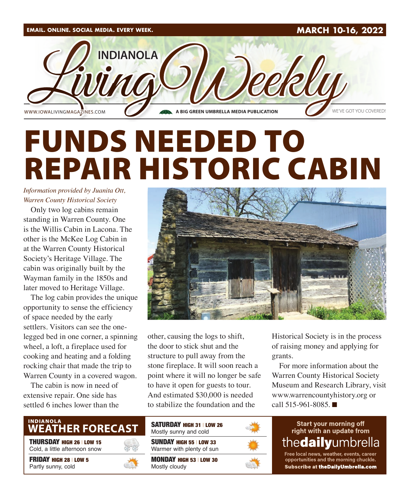

# FUNDS NEEDED TO REPAIR HISTORIC CABIN

*Information provided by Juanita Ott, Warren County Historical Society*

Only two log cabins remain standing in Warren County. One is the Willis Cabin in Lacona. The other is the McKee Log Cabin in at the Warren County Historical Society's Heritage Village. The cabin was originally built by the Wayman family in the 1850s and later moved to Heritage Village.

The log cabin provides the unique opportunity to sense the efficiency of space needed by the early settlers. Visitors can see the onelegged bed in one corner, a spinning wheel, a loft, a fireplace used for cooking and heating and a folding rocking chair that made the trip to Warren County in a covered wagon.

The cabin is now in need of extensive repair. One side has settled 6 inches lower than the



other, causing the logs to shift, the door to stick shut and the structure to pull away from the stone fireplace. It will soon reach a point where it will no longer be safe to have it open for guests to tour. And estimated \$30,000 is needed to stabilize the foundation and the

Historical Society is in the process of raising money and applying for grants.

For more information about the Warren County Historical Society Museum and Research Library, visit [www.warrencountyhistory.org](http://www.warrencountyhistory.org) or call 515-961-8085.

## INDIANOLA<br>WEATHER FORECAST

THURSDAY HIGH 26 | LOW 15 Cold, a little afternoon snow

FRIDAY HIGH 28 | LOW 5 Partly sunny, cold



| <b>SATURDAY HIGH 31 LOW 26</b><br>Mostly sunny and cold     |  |
|-------------------------------------------------------------|--|
| <b>SUNDAY HIGH 55   LOW 33</b><br>Warmer with plenty of sun |  |
| <b>MONDAY HIGH 53   LOW 30</b><br>Mostly cloudy             |  |



Free local news, weather, events, career opportunities and the morning chuckle. Subscribe at the Daily Umbrella.com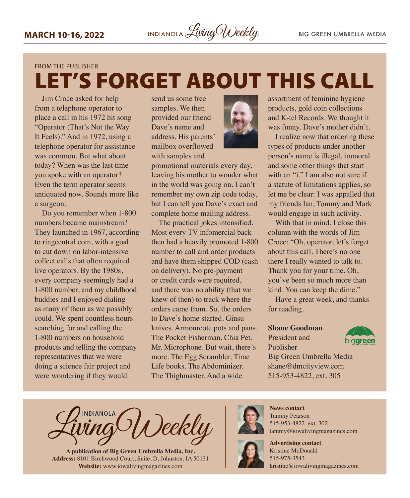### FROM THE PUBLISHER LET'S FORGET ABOUT THIS CALL

Jim Croce asked for help from a telephone operator to place a call in his 1972 hit song "Operator (That's Not the Way It Feels)." And in 1972, using a telephone operator for assistance was common. But what about today? When was the last time you spoke with an operator? Even the term operator seems antiquated now. Sounds more like a surgeon.

Do you remember when 1-800 numbers became mainstream? They launched in 1967, according to ringcentral.com, with a goal to cut down on labor-intensive collect calls that often required live operators. By the 1980s, every company seemingly had a 1-800 number, and my childhood buddies and I enjoyed dialing as many of them as we possibly could. We spent countless hours searching for and calling the 1-800 numbers on household products and telling the company representatives that we were doing a science fair project and were wondering if they would

send us some free samples. We then provided our friend Dave's name and address. His parents' mailbox overflowed with samples and



promotional materials every day, leaving his mother to wonder what in the world was going on. I can't remember my own zip code today, but I can tell you Dave's exact and complete home mailing address.

The practical jokes intensified. Most every TV infomercial back then had a heavily promoted 1-800 number to call and order products and have them shipped COD (cash on delivery). No pre-payment or credit cards were required, and there was no ability (that we knew of then) to track where the orders came from. So, the orders to Dave's home started. Ginsu knives. Armourcote pots and pans. The Pocket Fisherman. Chia Pet. Mr. Microphone. But wait, there's more. The Egg Scrambler. Time Life books. The Abdominizer. The Thighmaster. And a wide

assortment of feminine hygiene products, gold coin collections and K-tel Records. We thought it was funny. Dave's mother didn't.

I realize now that ordering these types of products under another person's name is illegal, immoral and some other things that start with an "i." I am also not sure if a statute of limitations applies, so let me be clear: I was appalled that my friends Ian, Tommy and Mark would engage in such activity.

With that in mind, I close this column with the words of Jim Croce: "Oh, operator, let's forget about this call. There's no one there I really wanted to talk to. Thank you for your time. Oh, you've been so much more than kind. You can keep the dime."

Have a great week, and thanks for reading.

**Shane Goodman**

President and Publisher



Big Green Umbrella Media shane@dmcityview.com 515-953-4822, ext. 305

**INDIANOLA** )eekly

**A publication of Big Green Umbrella Media, Inc. Address:** 8101 Birchwood Court, Suite, D, Johnston, IA 50131 **Website:** [www.iowalivingmagazines.com](http://www.iowalivingmagazines.com)



**News contact** Tammy Pearson 515-953-4822, ext. 302 [tammy@iowalivingmagazines.com](mailto:tammy@iowalivingmagazines.com)

**Advertising contact** Kristine McDonald 515-975-3543 [kristine@iowalivingmagazines.com](mailto:kristine@iowalivingmagazines.com)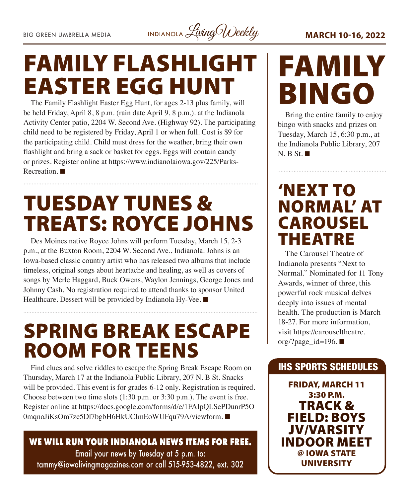BIG GREEN UMBRELLA MEDIA INDIANOLA LivingWeekly **MARCH 10-16, 2022**

# FAMILY FLASHLIGHT EASTER EGG HUNT

The Family Flashlight Easter Egg Hunt, for ages 2-13 plus family, will be held Friday, April 8, 8 p.m. (rain date April 9, 8 p.m.). at the Indianola Activity Center patio, 2204 W. Second Ave. (Highway 92). The participating child need to be registered by Friday, April 1 or when full. Cost is \$9 for the participating child. Child must dress for the weather, bring their own flashlight and bring a sack or basket for eggs. Eggs will contain candy or prizes. Register online at [https://www.indianolaiowa.gov/225/Parks-](https://www.indianolaiowa.gov/225/Parks-Recreation) $R$ ecreation.  $\blacksquare$ 

## TUESDAY TUNES & TREATS: ROYCE JOHNS

Des Moines native Royce Johns will perform Tuesday, March 15, 2-3 p.m., at the Buxton Room, 2204 W. Second Ave., Indianola. Johns is an Iowa-based classic country artist who has released two albums that include timeless, original songs about heartache and healing, as well as covers of songs by Merle Haggard, Buck Owens, Waylon Jennings, George Jones and Johnny Cash. No registration required to attend thanks to sponsor United Healthcare. Dessert will be provided by Indianola Hy-Vee.  $\blacksquare$ 

## SPRING BREAK ESCAPE ROOM FOR TEENS

Find clues and solve riddles to escape the Spring Break Escape Room on Thursday, March 17 at the Indianola Public Library, 207 N. B St. Snacks will be provided. This event is for grades 6-12 only. Registration is required. Choose between two time slots (1:30 p.m. or 3:30 p.m.). The event is free. Register online at [https://docs.google.com/forms/d/e/1FAIpQLSePDunrP5O](https://docs.google.com/forms/d/e/1FAIpQLSePDunrP5O0mqnoJiKsOm7ze5Dl7bgbH6HkUCImEoWUFqu79A/viewform) [0mqnoJiKsOm7ze5Dl7bgbH6HkUCImEoWUFqu79A/viewform.](https://docs.google.com/forms/d/e/1FAIpQLSePDunrP5O0mqnoJiKsOm7ze5Dl7bgbH6HkUCImEoWUFqu79A/viewform)

### **WE WILL RUN YOUR INDIANOLA NEWS ITEMS FOR FREE.** Email your news by Tuesday at 5 p.m. to: [tammy@iowalivingmagazines.com](mailto:tammy@iowalivingmagazines.com) or call 515-953-4822, ext. 302

# FAMILY BINGO

Bring the entire family to enjoy bingo with snacks and prizes on Tuesday, March 15, 6:30 p.m., at the Indianola Public Library, 207  $N. B St.$ 

## 'NEXT TO NORMAL' AT CAROUSEL THEATRE

The Carousel Theatre of Indianola presents "Next to Normal." Nominated for 11 Tony Awards, winner of three, this powerful rock musical delves deeply into issues of mental health. The production is March 18-27. For more information, visit [https://carouseltheatre.](https://carouseltheatre.org/?page_id=196) [org/?page\\_id=196](https://carouseltheatre.org/?page_id=196).  $\blacksquare$ 

### IHS SPORTS SCHEDULES

FRIDAY, MARCH 11 3:30 P.M. TRACK & FIELD: BOYS JV/VARSITY INDOOR MEET @ IOWA STATE UNIVERSITY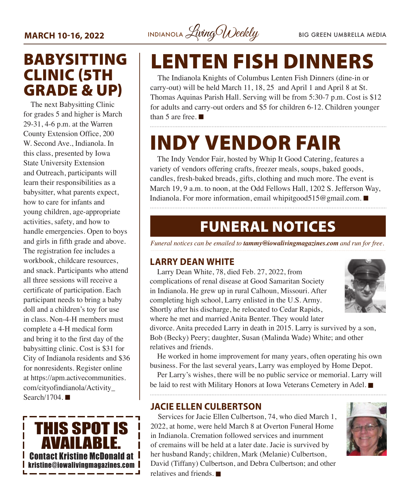

### BABYSITTING CLINIC (5TH GRADE & UP)

The next Babysitting Clinic for grades 5 and higher is March 29-31, 4-6 p.m. at the Warren County Extension Office, 200 W. Second Ave., Indianola. In this class, presented by Iowa State University Extension and Outreach, participants will learn their responsibilities as a babysitter, what parents expect, how to care for infants and young children, age-appropriate activities, safety, and how to handle emergencies. Open to boys and girls in fifth grade and above. The registration fee includes a workbook, childcare resources, and snack. Participants who attend all three sessions will receive a certificate of participation. Each participant needs to bring a baby doll and a children's toy for use in class. Non-4-H members must complete a 4-H medical form and bring it to the first day of the babysitting clinic. Cost is \$31 for City of Indianola residents and \$36 for nonresidents. Register online at [https://apm.activecommunities.](https://apm.activecommunities.com/cityofindianola/Activity_Search/1704) [com/cityofindianola/Activity\\_](https://apm.activecommunities.com/cityofindianola/Activity_Search/1704) [Search/1704](https://apm.activecommunities.com/cityofindianola/Activity_Search/1704) $\blacksquare$ 



# LENTEN FISH DINNERS

The Indianola Knights of Columbus Lenten Fish Dinners (dine-in or carry-out) will be held March 11, 18, 25 and April 1 and April 8 at St. Thomas Aquinas Parish Hall. Serving will be from 5:30-7 p.m. Cost is \$12 for adults and carry-out orders and \$5 for children 6-12. Children younger than 5 are free.  $\blacksquare$ 

# INDY VENDOR FAIR

The Indy Vendor Fair, hosted by Whip It Good Catering, features a variety of vendors offering crafts, freezer meals, soups, baked goods, candles, fresh-baked breads, gifts, clothing and much more. The event is March 19, 9 a.m. to noon, at the Odd Fellows Hall, 1202 S. Jefferson Way, Indianola. For more information, email [whipitgood515@gmail.com](mailto:whipitgood515@gmail.com). ■ 

## FUNERAL NOTICES

*Funeral notices can be emailed to [tammy@iowalivingmagazines.com](mailto:tammy@iowalivingmagazines.com) and run for free.*

### **LARRY DEAN WHITE**

Larry Dean White, 78, died Feb. 27, 2022, from complications of renal disease at Good Samaritan Society in Indianola. He grew up in rural Calhoun, Missouri. After completing high school, Larry enlisted in the U.S. Army. Shortly after his discharge, he relocated to Cedar Rapids, where he met and married Anita Benter. They would later



divorce. Anita preceded Larry in death in 2015. Larry is survived by a son, Bob (Becky) Peery; daughter, Susan (Malinda Wade) White; and other relatives and friends.

He worked in home improvement for many years, often operating his own business. For the last several years, Larry was employed by Home Depot.

Per Larry's wishes, there will be no public service or memorial. Larry will be laid to rest with Military Honors at Iowa Veterans Cemetery in Adel.

### **JACIE ELLEN CULBERTSON**

Services for Jacie Ellen Culbertson, 74, who died March 1, 2022, at home, were held March 8 at Overton Funeral Home in Indianola. Cremation followed services and inurnment of cremains will be held at a later date. Jacie is survived by her husband Randy; children, Mark (Melanie) Culbertson, David (Tiffany) Culbertson, and Debra Culbertson; and other relatives and friends.  $\blacksquare$ 

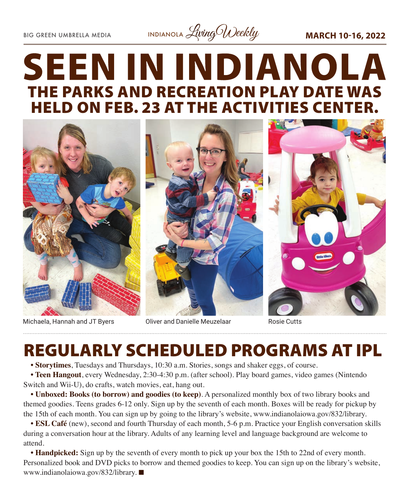

## **SEEN IN INDIANOLA** THE PARKS AND RECREATION PLAY DATE WAS HELD ON FEB. 23 AT THE ACTIVITIES CENTER.



Michaela, Hannah and JT Byers Oliver and Danielle Meuzelaar Rosie Cutts

## REGULARLY SCHEDULED PROGRAMS AT IPL

**• Storytimes**, Tuesdays and Thursdays, 10:30 a.m. Stories, songs and shaker eggs, of course.

**• Teen Hangout**, every Wednesday, 2:30-4:30 p.m. (after school). Play board games, video games (Nintendo Switch and Wii-U), do crafts, watch movies, eat, hang out.

**• Unboxed: Books (to borrow) and goodies (to keep)**. A personalized monthly box of two library books and themed goodies. Teens grades 6-12 only. Sign up by the seventh of each month. Boxes will be ready for pickup by the 15th of each month. You can sign up by going to the library's website, [www.indianolaiowa.gov/832/library.](http://www.indianolaiowa.gov/832/library)

**• ESL Café** (new), second and fourth Thursday of each month, 5-6 p.m. Practice your English conversation skills during a conversation hour at the library. Adults of any learning level and language background are welcome to attend.

**• Handpicked:** Sign up by the seventh of every month to pick up your box the 15th to 22nd of every month. Personalized book and DVD picks to borrow and themed goodies to keep. You can sign up on the library's website, [www.indianolaiowa.gov/832/library.](http://www.indianolaiowa.gov/832/library) ■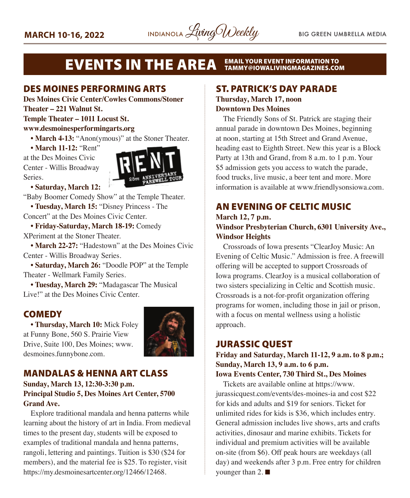

#### **EVENTS IN THE AREA** EMAIL YOUR EVENT INFORMATION TO<br>TAMMY@IOWALIVINGMAGAZINES.COM

#### DES MOINES PERFORMING ARTS

**Des Moines Civic Center/Cowles Commons/Stoner Theater – 221 Walnut St.**

#### **Temple Theater – 1011 Locust St.**

#### **www.desmoinesperformingarts.org**

• March 4-13: "Anon(ymous)" at the Stoner Theater.

**• March 11-12:** "Rent"

at the Des Moines Civic Center - Willis Broadway Series.



#### **• Saturday, March 12:**

"Baby Boomer Comedy Show" at the Temple Theater.

**• Tuesday, March 15:** "Disney Princess - The Concert" at the Des Moines Civic Center.

**• Friday-Saturday, March 18-19:** Comedy XPeriment at the Stoner Theater.

• **March 22-27:** "Hadestown" at the Des Moines Civic Center - Willis Broadway Series.

**• Saturday, March 26:** "Doodle POP" at the Temple Theater - Wellmark Family Series.

**• Tuesday, March 29:** "Madagascar The Musical Live!" at the Des Moines Civic Center.

#### **COMEDY**

**• Thursday, March 10:** Mick Foley at Funny Bone, 560 S. Prairie View Drive, Suite 100, Des Moines; www. desmoines.funnybone.com.



#### MANDALAS & HENNA ART CLASS

#### **Sunday, March 13, 12:30-3:30 p.m. Principal Studio 5, Des Moines Art Center, 5700 Grand Ave.**

Explore traditional mandala and henna patterns while learning about the history of art in India. From medieval times to the present day, students will be exposed to examples of traditional mandala and henna patterns, rangoli, lettering and paintings. Tuition is \$30 (\$24 for members), and the material fee is \$25. To register, visit https://my.desmoinesartcenter.org/12466/12468.

#### ST. PATRICK'S DAY PARADE

#### **Thursday, March 17, noon Downtown Des Moines**

The Friendly Sons of St. Patrick are staging their annual parade in downtown Des Moines, beginning at noon, starting at 15th Street and Grand Avenue, heading east to Eighth Street. New this year is a Block Party at 13th and Grand, from 8 a.m. to 1 p.m. Your \$5 admission gets you access to watch the parade, food trucks, live music, a beer tent and more. More information is available at www.friendlysonsiowa.com.

### AN EVENING OF CELTIC MUSIC

#### **March 12, 7 p.m. Windsor Presbyterian Church, 6301 University Ave., Windsor Heights**

Crossroads of Iowa presents "ClearJoy Music: An Evening of Celtic Music." Admission is free. A freewill offering will be accepted to support Crossroads of Iowa programs. ClearJoy is a musical collaboration of two sisters specializing in Celtic and Scottish music. Crossroads is a not-for-profit organization offering programs for women, including those in jail or prison, with a focus on mental wellness using a holistic approach.

#### JURASSIC QUEST

**Friday and Saturday, March 11-12, 9 a.m. to 8 p.m.; Sunday, March 13, 9 a.m. to 6 p.m. Iowa Events Center, 730 Third St., Des Moines**

Tickets are available online at https://www. jurassicquest.com/events/des-moines-ia and cost \$22 for kids and adults and \$19 for seniors. Ticket for unlimited rides for kids is \$36, which includes entry. General admission includes live shows, arts and crafts activities, dinosaur and marine exhibits. Tickets for individual and premium activities will be available on-site (from \$6). Off peak hours are weekdays (all day) and weekends after 3 p.m. Free entry for children younger than  $2. \blacksquare$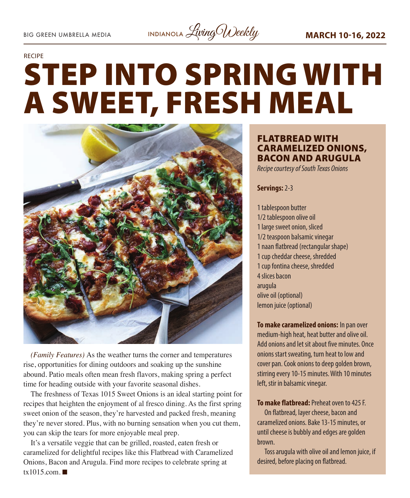

## RECIPE STEP INTO SPRING WITH A SWEET, FRESH MEAL



*(Family Features)* As the weather turns the corner and temperatures rise, opportunities for dining outdoors and soaking up the sunshine abound. Patio meals often mean fresh flavors, making spring a perfect time for heading outside with your favorite seasonal dishes.

The freshness of Texas 1015 Sweet Onions is an ideal starting point for recipes that heighten the enjoyment of al fresco dining. As the first spring sweet onion of the season, they're harvested and packed fresh, meaning they're never stored. Plus, with no burning sensation when you cut them, you can skip the tears for more enjoyable meal prep.

It's a versatile veggie that can be grilled, roasted, eaten fresh or caramelized for delightful recipes like this Flatbread with Caramelized Onions, Bacon and Arugula. Find more recipes to celebrate spring at  $tx1015.com.$ 

### **FI ATRREAD WITH** CARAMELIZED ONIONS, BACON AND ARUGULA

*Recipe courtesy of South Texas Onions*

#### **Servings:** 2-3

1 tablespoon butter 1/2 tablespoon olive oil 1 large sweet onion, sliced 1/2 teaspoon balsamic vinegar 1 naan flatbread (rectangular shape) 1 cup cheddar cheese, shredded 1 cup fontina cheese, shredded 4 slices bacon arugula olive oil (optional) lemon juice (optional)

**To make caramelized onions:** In pan over medium-high heat, heat butter and olive oil. Add onions and let sit about five minutes. Once onions start sweating, turn heat to low and cover pan. Cook onions to deep golden brown, stirring every 10-15 minutes. With 10 minutes left, stir in balsamic vinegar.

**To make flatbread:** Preheat oven to 425 F. On flatbread, layer cheese, bacon and caramelized onions. Bake 13-15 minutes, or until cheese is bubbly and edges are golden brown.

Toss arugula with olive oil and lemon juice, if desired, before placing on flatbread.